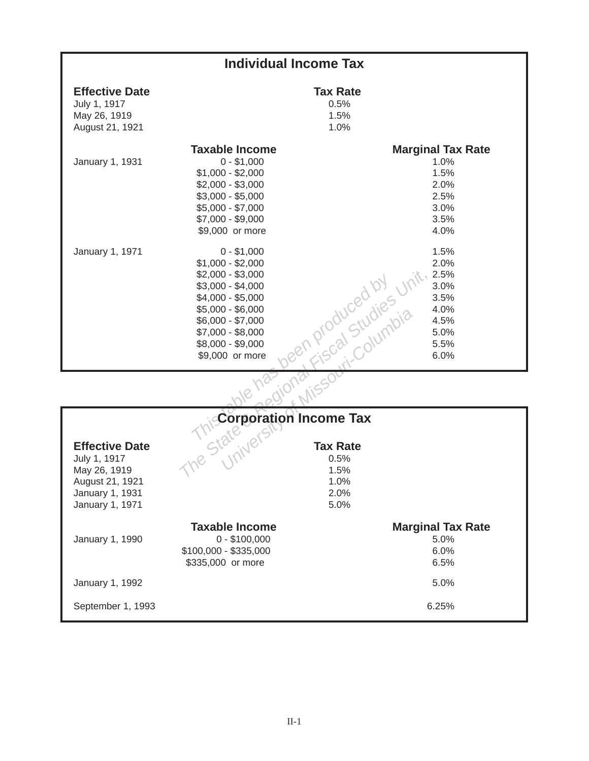|                                                                          | <b>Individual Income Tax</b>                                                                                                                                                                                                   |                                                                                                                                                               |  |
|--------------------------------------------------------------------------|--------------------------------------------------------------------------------------------------------------------------------------------------------------------------------------------------------------------------------|---------------------------------------------------------------------------------------------------------------------------------------------------------------|--|
| <b>Effective Date</b><br>July 1, 1917<br>May 26, 1919<br>August 21, 1921 |                                                                                                                                                                                                                                | <b>Tax Rate</b><br>0.5%<br>1.5%<br>1.0%                                                                                                                       |  |
| January 1, 1931                                                          | <b>Taxable Income</b><br>$0 - $1,000$<br>$$1,000 - $2,000$<br>$$2,000 - $3,000$<br>$$3,000 - $5,000$<br>$$5,000 - $7,000$<br>$$7,000 - $9,000$<br>\$9,000 or more                                                              | <b>Marginal Tax Rate</b><br>1.0%<br>1.5%<br>2.0%<br>2.5%<br>3.0%<br>3.5%<br>4.0%                                                                              |  |
| January 1, 1971                                                          | $0 - $1,000$<br>$$1,000 - $2,000$<br>$$2,000 - $3,000$<br>$$3,000 - $4,000$<br>$$4,000 - $5,000$<br>$$5,000 - $6,000$<br>$$6,000 - $7,000$<br>$$7,000 - $8,000$<br>\$8,000 - \$9,000<br>\$9,000 or more                        | 1.5%<br>2.0%<br>2.5%<br>sen produced by Jinit 3.<br>Sen produced by Jinit 3.<br>Sen produced by Jinit<br>3.0%<br>3.5%<br>4.0%<br>4.5%<br>5.0%<br>5.5%<br>6.0% |  |
|                                                                          |                                                                                                                                                                                                                                |                                                                                                                                                               |  |
|                                                                          |                                                                                                                                                                                                                                |                                                                                                                                                               |  |
| <b>Effective Date</b><br>July 1, 1917<br>May 26, 1919                    | The State of State of State of State of State of State of State of State of State of State of State of State of State of State of State of State of State of State of State of State of State of State of State of State of St |                                                                                                                                                               |  |

|                                                                                                                | $0.000 - 0.000$<br>$$6,000 - $7,000$<br>$$7,000 - $8,000$<br>$$8,000 - $9,000$<br>\$9,000 or more                                                                                                                              | 1 P. Gal Stuwnpic            | $4.0\%$<br>4.5%<br>5.0%<br>5.5%<br>6.0%          |
|----------------------------------------------------------------------------------------------------------------|--------------------------------------------------------------------------------------------------------------------------------------------------------------------------------------------------------------------------------|------------------------------|--------------------------------------------------|
|                                                                                                                |                                                                                                                                                                                                                                |                              |                                                  |
|                                                                                                                |                                                                                                                                                                                                                                |                              |                                                  |
| <b>Effective Date</b><br>July 1, 1917<br>May 26, 1919<br>August 21, 1921<br>January 1, 1931<br>January 1, 1971 | The State of State of State of State of State of State of State of State of State of State of State of State of State of State of State of State of State of State of State of State of State of State of State of State of St | 1.5%<br>1.0%<br>2.0%<br>5.0% |                                                  |
| January 1, 1990                                                                                                | <b>Taxable Income</b><br>$0 - $100,000$<br>\$100,000 - \$335,000<br>\$335,000 or more                                                                                                                                          |                              | <b>Marginal Tax Rate</b><br>5.0%<br>6.0%<br>6.5% |
| January 1, 1992                                                                                                |                                                                                                                                                                                                                                |                              | 5.0%                                             |
| September 1, 1993                                                                                              |                                                                                                                                                                                                                                |                              | 6.25%                                            |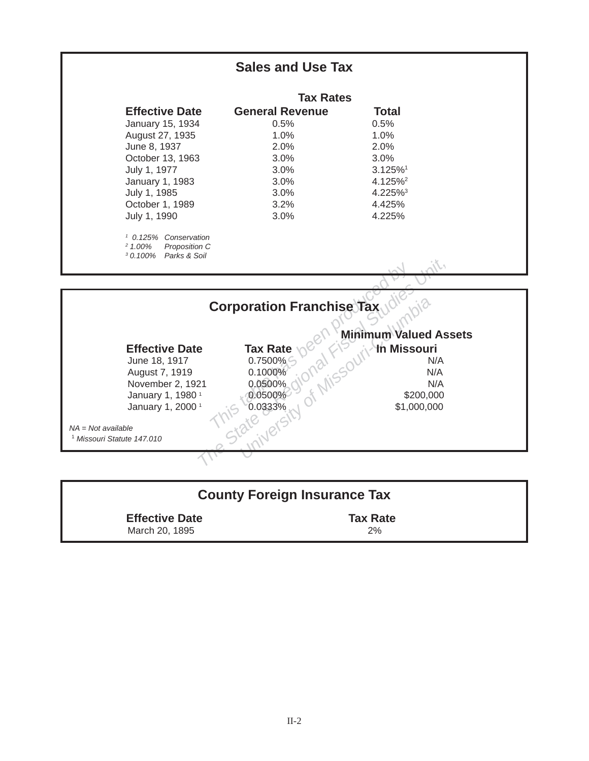

| <b>County Foreign Insurance Tax</b>     |                       |  |  |  |
|-----------------------------------------|-----------------------|--|--|--|
| <b>Effective Date</b><br>March 20, 1895 | <b>Tax Rate</b><br>2% |  |  |  |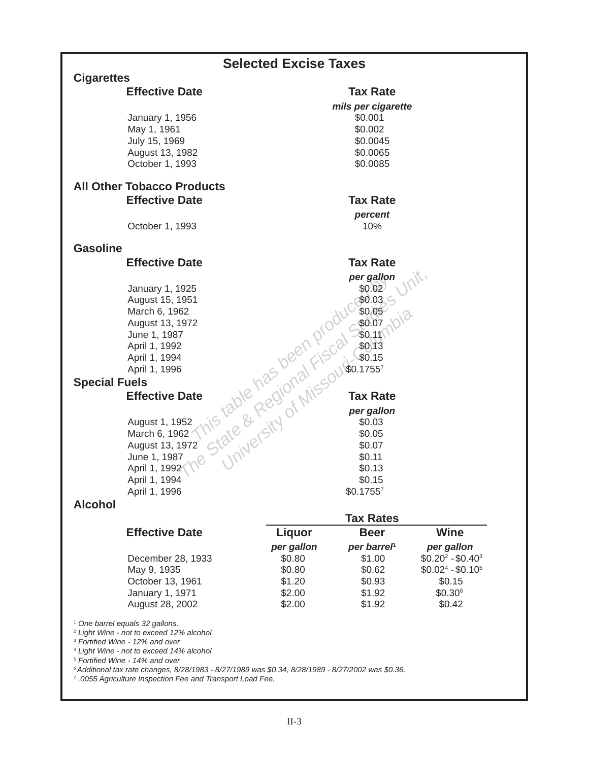|                      |                                                                                                                                                  | <b>Selected Excise Taxes</b> |                               |                     |
|----------------------|--------------------------------------------------------------------------------------------------------------------------------------------------|------------------------------|-------------------------------|---------------------|
| <b>Cigarettes</b>    |                                                                                                                                                  |                              |                               |                     |
|                      | <b>Effective Date</b>                                                                                                                            |                              | <b>Tax Rate</b>               |                     |
|                      | January 1, 1956                                                                                                                                  |                              | mils per cigarette<br>\$0.001 |                     |
|                      | May 1, 1961                                                                                                                                      |                              | \$0.002                       |                     |
|                      | July 15, 1969                                                                                                                                    |                              | \$0.0045                      |                     |
|                      | August 13, 1982                                                                                                                                  |                              | \$0.0065                      |                     |
|                      | October 1, 1993                                                                                                                                  |                              | \$0.0085                      |                     |
|                      | <b>All Other Tobacco Products</b>                                                                                                                |                              |                               |                     |
|                      | <b>Effective Date</b>                                                                                                                            |                              | <b>Tax Rate</b>               |                     |
|                      |                                                                                                                                                  |                              | percent                       |                     |
|                      | October 1, 1993                                                                                                                                  |                              | 10%                           |                     |
|                      |                                                                                                                                                  |                              |                               |                     |
| <b>Gasoline</b>      |                                                                                                                                                  |                              |                               |                     |
|                      | <b>Effective Date</b>                                                                                                                            |                              | <b>Tax Rate</b>               |                     |
|                      |                                                                                                                                                  |                              | per gallon                    |                     |
|                      | January 1, 1925<br>August 15, 1951                                                                                                               |                              | \$0.02\$<br>\$0.03            |                     |
|                      | March 6, 1962                                                                                                                                    |                              | \$0.05                        |                     |
|                      | August 13, 1972                                                                                                                                  |                              |                               |                     |
|                      | June 1, 1987                                                                                                                                     |                              |                               |                     |
|                      | April 1, 1992                                                                                                                                    |                              |                               |                     |
|                      | April 1, 1994                                                                                                                                    |                              |                               |                     |
|                      | April 1, 1996                                                                                                                                    |                              |                               |                     |
| <b>Special Fuels</b> | ate table has been product for the                                                                                                               |                              |                               |                     |
|                      | <b>Effective Date</b>                                                                                                                            |                              | <b>Tax Rate</b>               |                     |
|                      | August 1, 1952                                                                                                                                   |                              | per gallon                    |                     |
|                      | March 6, 1962                                                                                                                                    |                              |                               |                     |
|                      | August 13, 1972                                                                                                                                  |                              |                               |                     |
|                      | June 1, 1987                                                                                                                                     |                              |                               |                     |
|                      | April 1, 1992                                                                                                                                    |                              |                               |                     |
|                      | April 1, 1994                                                                                                                                    |                              | \$0.15                        |                     |
| <b>Alcohol</b>       | April 1, 1996                                                                                                                                    |                              | \$0.17557                     |                     |
|                      |                                                                                                                                                  |                              | <b>Tax Rates</b>              |                     |
|                      | <b>Effective Date</b>                                                                                                                            | <b>Liquor</b>                | <b>Beer</b>                   | <b>Wine</b>         |
|                      |                                                                                                                                                  | per gallon                   | per barrel <sup>®</sup>       | per gallon          |
|                      | December 28, 1933                                                                                                                                | \$0.80                       | \$1.00                        | $$0.20^2 - $0.40^3$ |
|                      | May 9, 1935                                                                                                                                      | \$0.80                       | \$0.62                        | $$0.024 - $0.105$   |
|                      | October 13, 1961                                                                                                                                 | \$1.20                       | \$0.93                        | \$0.15              |
|                      | January 1, 1971                                                                                                                                  | \$2.00                       | \$1.92                        | $$0.30^6$           |
|                      | August 28, 2002                                                                                                                                  | \$2.00                       | \$1.92                        | \$0.42              |
|                      | <sup>1</sup> One barrel equals 32 gallons.                                                                                                       |                              |                               |                     |
|                      | <sup>2</sup> Light Wine - not to exceed 12% alcohol<br><sup>3</sup> Fortified Wine - 12% and over                                                |                              |                               |                     |
|                      | <sup>4</sup> Light Wine - not to exceed 14% alcohol                                                                                              |                              |                               |                     |
|                      | <sup>5</sup> Fortified Wine - 14% and over<br>6 Additional tax rate changes, 8/28/1983 - 8/27/1989 was \$0.34, 8/28/1989 - 8/27/2002 was \$0.36. |                              |                               |                     |
|                      | <sup>7</sup> .0055 Agriculture Inspection Fee and Transport Load Fee.                                                                            |                              |                               |                     |
|                      |                                                                                                                                                  |                              |                               |                     |